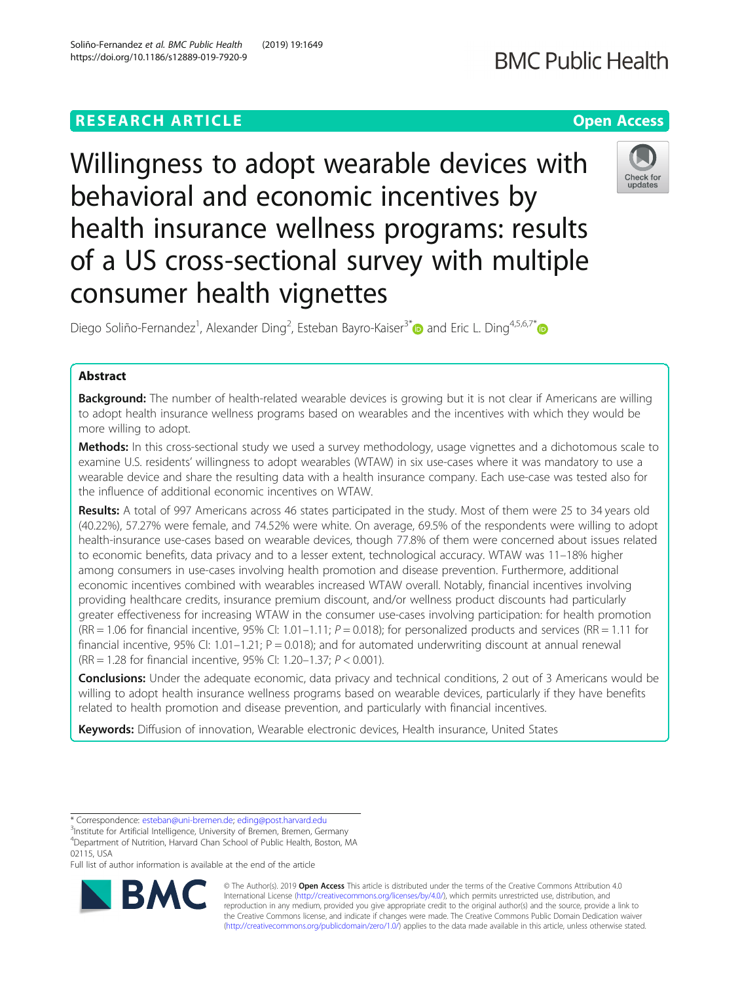# **RESEARCH ARTICLE Example 2014 12:30 The Contract of Contract ACCESS**

https://doi.org/10.1186/s12889-019-7920-9

Willingness to adopt wearable devices with behavioral and economic incentives by health insurance wellness programs: results of a US cross-sectional survey with multiple consumer health vignettes

Diego Soliño-Fernandez<sup>1</sup>, Alexander Ding<sup>2</sup>, Esteban Bayro-Kaiser<sup>3[\\*](https://orcid.org/0000-0002-5881-8097)</sup> and Eric L. Ding<sup>4,5,6,7\*</sup>

# Abstract

**Background:** The number of health-related wearable devices is growing but it is not clear if Americans are willing to adopt health insurance wellness programs based on wearables and the incentives with which they would be more willing to adopt.

Methods: In this cross-sectional study we used a survey methodology, usage vignettes and a dichotomous scale to examine U.S. residents' willingness to adopt wearables (WTAW) in six use-cases where it was mandatory to use a wearable device and share the resulting data with a health insurance company. Each use-case was tested also for the influence of additional economic incentives on WTAW.

Results: A total of 997 Americans across 46 states participated in the study. Most of them were 25 to 34 years old (40.22%), 57.27% were female, and 74.52% were white. On average, 69.5% of the respondents were willing to adopt health-insurance use-cases based on wearable devices, though 77.8% of them were concerned about issues related to economic benefits, data privacy and to a lesser extent, technological accuracy. WTAW was 11–18% higher among consumers in use-cases involving health promotion and disease prevention. Furthermore, additional economic incentives combined with wearables increased WTAW overall. Notably, financial incentives involving providing healthcare credits, insurance premium discount, and/or wellness product discounts had particularly greater effectiveness for increasing WTAW in the consumer use-cases involving participation: for health promotion  $(RR = 1.06$  for financial incentive, 95% CI: 1.01–1.11;  $P = 0.018$ ); for personalized products and services  $(RR = 1.11$  for financial incentive, 95% CI: 1.01–1.21;  $P = 0.018$ ); and for automated underwriting discount at annual renewal (RR = 1.28 for financial incentive, 95% CI: 1.20–1.37; P < 0.001).

**Conclusions:** Under the adequate economic, data privacy and technical conditions, 2 out of 3 Americans would be willing to adopt health insurance wellness programs based on wearable devices, particularly if they have benefits related to health promotion and disease prevention, and particularly with financial incentives.

Keywords: Diffusion of innovation, Wearable electronic devices, Health insurance, United States

© The Author(s). 2019 **Open Access** This article is distributed under the terms of the Creative Commons Attribution 4.0 International License [\(http://creativecommons.org/licenses/by/4.0/](http://creativecommons.org/licenses/by/4.0/)), which permits unrestricted use, distribution, and reproduction in any medium, provided you give appropriate credit to the original author(s) and the source, provide a link to the Creative Commons license, and indicate if changes were made. The Creative Commons Public Domain Dedication waiver [\(http://creativecommons.org/publicdomain/zero/1.0/](http://creativecommons.org/publicdomain/zero/1.0/)) applies to the data made available in this article, unless otherwise stated.

<sup>3</sup>Institute for Artificial Intelligence, University of Bremen, Bremen, Germany







<sup>\*</sup> Correspondence: [esteban@uni-bremen.de;](mailto:esteban@uni-bremen.de) [eding@post.harvard.edu](mailto:eding@post.harvard.edu) <sup>3</sup>

<sup>4</sup> Department of Nutrition, Harvard Chan School of Public Health, Boston, MA 02115, USA

Full list of author information is available at the end of the article

Soliño-Fernandez et al. BMC Public Health (2019) 19:1649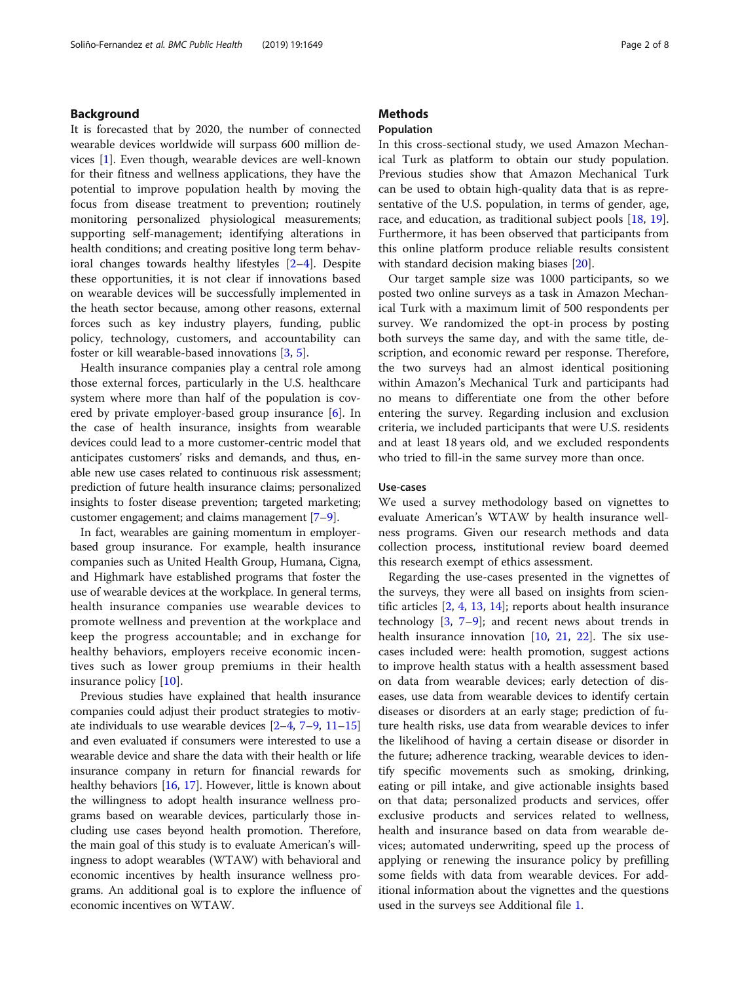### Background

It is forecasted that by 2020, the number of connected wearable devices worldwide will surpass 600 million devices [\[1\]](#page-6-0). Even though, wearable devices are well-known for their fitness and wellness applications, they have the potential to improve population health by moving the focus from disease treatment to prevention; routinely monitoring personalized physiological measurements; supporting self-management; identifying alterations in health conditions; and creating positive long term behavioral changes towards healthy lifestyles [\[2](#page-6-0)–[4](#page-6-0)]. Despite these opportunities, it is not clear if innovations based on wearable devices will be successfully implemented in the heath sector because, among other reasons, external forces such as key industry players, funding, public policy, technology, customers, and accountability can foster or kill wearable-based innovations [[3,](#page-6-0) [5\]](#page-6-0).

Health insurance companies play a central role among those external forces, particularly in the U.S. healthcare system where more than half of the population is covered by private employer-based group insurance [[6](#page-6-0)]. In the case of health insurance, insights from wearable devices could lead to a more customer-centric model that anticipates customers' risks and demands, and thus, enable new use cases related to continuous risk assessment; prediction of future health insurance claims; personalized insights to foster disease prevention; targeted marketing; customer engagement; and claims management [[7](#page-6-0)–[9\]](#page-6-0).

In fact, wearables are gaining momentum in employerbased group insurance. For example, health insurance companies such as United Health Group, Humana, Cigna, and Highmark have established programs that foster the use of wearable devices at the workplace. In general terms, health insurance companies use wearable devices to promote wellness and prevention at the workplace and keep the progress accountable; and in exchange for healthy behaviors, employers receive economic incentives such as lower group premiums in their health insurance policy [[10\]](#page-6-0).

Previous studies have explained that health insurance companies could adjust their product strategies to motivate individuals to use wearable devices  $[2-4, 7-9, 11-15]$  $[2-4, 7-9, 11-15]$  $[2-4, 7-9, 11-15]$  $[2-4, 7-9, 11-15]$  $[2-4, 7-9, 11-15]$  $[2-4, 7-9, 11-15]$  $[2-4, 7-9, 11-15]$  $[2-4, 7-9, 11-15]$  $[2-4, 7-9, 11-15]$  $[2-4, 7-9, 11-15]$  $[2-4, 7-9, 11-15]$  $[2-4, 7-9, 11-15]$ and even evaluated if consumers were interested to use a wearable device and share the data with their health or life insurance company in return for financial rewards for healthy behaviors [\[16,](#page-7-0) [17\]](#page-7-0). However, little is known about the willingness to adopt health insurance wellness programs based on wearable devices, particularly those including use cases beyond health promotion. Therefore, the main goal of this study is to evaluate American's willingness to adopt wearables (WTAW) with behavioral and economic incentives by health insurance wellness programs. An additional goal is to explore the influence of economic incentives on WTAW.

### **Methods**

### Population

In this cross-sectional study, we used Amazon Mechanical Turk as platform to obtain our study population. Previous studies show that Amazon Mechanical Turk can be used to obtain high-quality data that is as representative of the U.S. population, in terms of gender, age, race, and education, as traditional subject pools [\[18](#page-7-0), [19](#page-7-0)]. Furthermore, it has been observed that participants from this online platform produce reliable results consistent with standard decision making biases [\[20](#page-7-0)].

Our target sample size was 1000 participants, so we posted two online surveys as a task in Amazon Mechanical Turk with a maximum limit of 500 respondents per survey. We randomized the opt-in process by posting both surveys the same day, and with the same title, description, and economic reward per response. Therefore, the two surveys had an almost identical positioning within Amazon's Mechanical Turk and participants had no means to differentiate one from the other before entering the survey. Regarding inclusion and exclusion criteria, we included participants that were U.S. residents and at least 18 years old, and we excluded respondents who tried to fill-in the same survey more than once.

### Use-cases

We used a survey methodology based on vignettes to evaluate American's WTAW by health insurance wellness programs. Given our research methods and data collection process, institutional review board deemed this research exempt of ethics assessment.

Regarding the use-cases presented in the vignettes of the surveys, they were all based on insights from scientific articles  $[2, 4, 13, 14]$  $[2, 4, 13, 14]$  $[2, 4, 13, 14]$  $[2, 4, 13, 14]$  $[2, 4, 13, 14]$  $[2, 4, 13, 14]$  $[2, 4, 13, 14]$  $[2, 4, 13, 14]$ ; reports about health insurance technology  $[3, 7-9]$  $[3, 7-9]$  $[3, 7-9]$  $[3, 7-9]$  $[3, 7-9]$  $[3, 7-9]$  $[3, 7-9]$ ; and recent news about trends in health insurance innovation [[10,](#page-6-0) [21](#page-7-0), [22](#page-7-0)]. The six usecases included were: health promotion, suggest actions to improve health status with a health assessment based on data from wearable devices; early detection of diseases, use data from wearable devices to identify certain diseases or disorders at an early stage; prediction of future health risks, use data from wearable devices to infer the likelihood of having a certain disease or disorder in the future; adherence tracking, wearable devices to identify specific movements such as smoking, drinking, eating or pill intake, and give actionable insights based on that data; personalized products and services, offer exclusive products and services related to wellness, health and insurance based on data from wearable devices; automated underwriting, speed up the process of applying or renewing the insurance policy by prefilling some fields with data from wearable devices. For additional information about the vignettes and the questions used in the surveys see Additional file [1.](#page-6-0)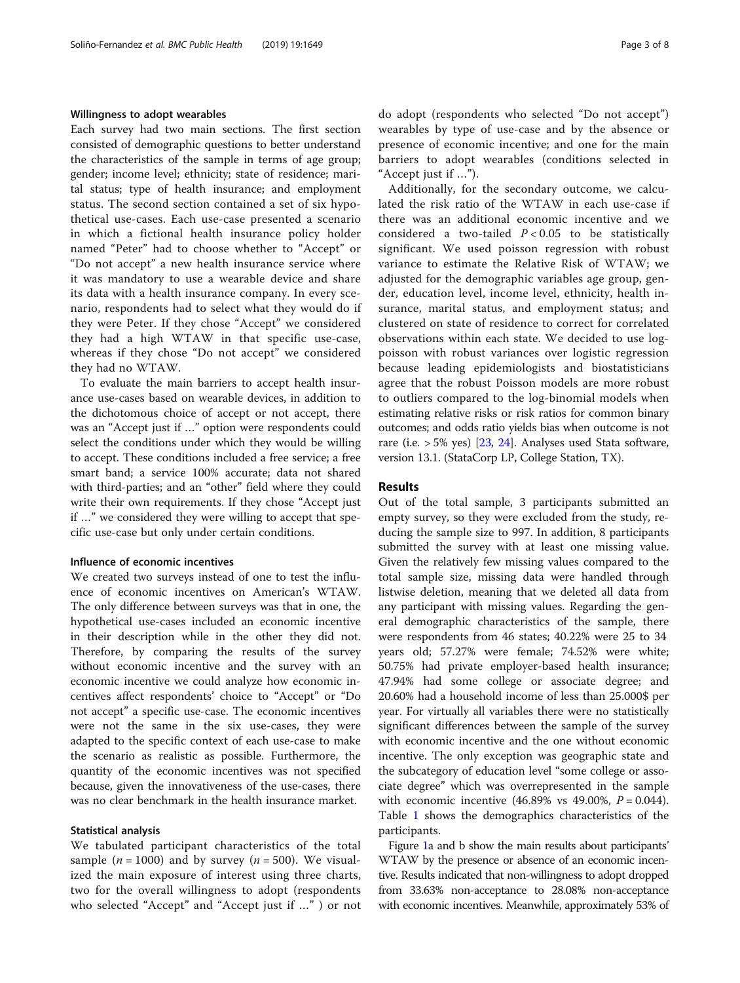### Willingness to adopt wearables

Each survey had two main sections. The first section consisted of demographic questions to better understand the characteristics of the sample in terms of age group; gender; income level; ethnicity; state of residence; marital status; type of health insurance; and employment status. The second section contained a set of six hypothetical use-cases. Each use-case presented a scenario in which a fictional health insurance policy holder named "Peter" had to choose whether to "Accept" or "Do not accept" a new health insurance service where it was mandatory to use a wearable device and share its data with a health insurance company. In every scenario, respondents had to select what they would do if they were Peter. If they chose "Accept" we considered they had a high WTAW in that specific use-case, whereas if they chose "Do not accept" we considered they had no WTAW.

To evaluate the main barriers to accept health insurance use-cases based on wearable devices, in addition to the dichotomous choice of accept or not accept, there was an "Accept just if …" option were respondents could select the conditions under which they would be willing to accept. These conditions included a free service; a free smart band; a service 100% accurate; data not shared with third-parties; and an "other" field where they could write their own requirements. If they chose "Accept just if …" we considered they were willing to accept that specific use-case but only under certain conditions.

### Influence of economic incentives

We created two surveys instead of one to test the influence of economic incentives on American's WTAW. The only difference between surveys was that in one, the hypothetical use-cases included an economic incentive in their description while in the other they did not. Therefore, by comparing the results of the survey without economic incentive and the survey with an economic incentive we could analyze how economic incentives affect respondents' choice to "Accept" or "Do not accept" a specific use-case. The economic incentives were not the same in the six use-cases, they were adapted to the specific context of each use-case to make the scenario as realistic as possible. Furthermore, the quantity of the economic incentives was not specified because, given the innovativeness of the use-cases, there was no clear benchmark in the health insurance market.

### Statistical analysis

We tabulated participant characteristics of the total sample ( $n = 1000$ ) and by survey ( $n = 500$ ). We visualized the main exposure of interest using three charts, two for the overall willingness to adopt (respondents who selected "Accept" and "Accept just if …" ) or not do adopt (respondents who selected "Do not accept") wearables by type of use-case and by the absence or presence of economic incentive; and one for the main barriers to adopt wearables (conditions selected in "Accept just if …").

Additionally, for the secondary outcome, we calculated the risk ratio of the WTAW in each use-case if there was an additional economic incentive and we considered a two-tailed  $P < 0.05$  to be statistically significant. We used poisson regression with robust variance to estimate the Relative Risk of WTAW; we adjusted for the demographic variables age group, gender, education level, income level, ethnicity, health insurance, marital status, and employment status; and clustered on state of residence to correct for correlated observations within each state. We decided to use logpoisson with robust variances over logistic regression because leading epidemiologists and biostatisticians agree that the robust Poisson models are more robust to outliers compared to the log-binomial models when estimating relative risks or risk ratios for common binary outcomes; and odds ratio yields bias when outcome is not rare (i.e.  $> 5\%$  yes) [[23](#page-7-0), [24\]](#page-7-0). Analyses used Stata software, version 13.1. (StataCorp LP, College Station, TX).

### Results

Out of the total sample, 3 participants submitted an empty survey, so they were excluded from the study, reducing the sample size to 997. In addition, 8 participants submitted the survey with at least one missing value. Given the relatively few missing values compared to the total sample size, missing data were handled through listwise deletion, meaning that we deleted all data from any participant with missing values. Regarding the general demographic characteristics of the sample, there were respondents from 46 states; 40.22% were 25 to 34 years old; 57.27% were female; 74.52% were white; 50.75% had private employer-based health insurance; 47.94% had some college or associate degree; and 20.60% had a household income of less than 25.000\$ per year. For virtually all variables there were no statistically significant differences between the sample of the survey with economic incentive and the one without economic incentive. The only exception was geographic state and the subcategory of education level "some college or associate degree" which was overrepresented in the sample with economic incentive  $(46.89\% \text{ vs } 49.00\%, P = 0.044)$ . Table [1](#page-3-0) shows the demographics characteristics of the participants.

Figure [1a](#page-4-0) and b show the main results about participants' WTAW by the presence or absence of an economic incentive. Results indicated that non-willingness to adopt dropped from 33.63% non-acceptance to 28.08% non-acceptance with economic incentives. Meanwhile, approximately 53% of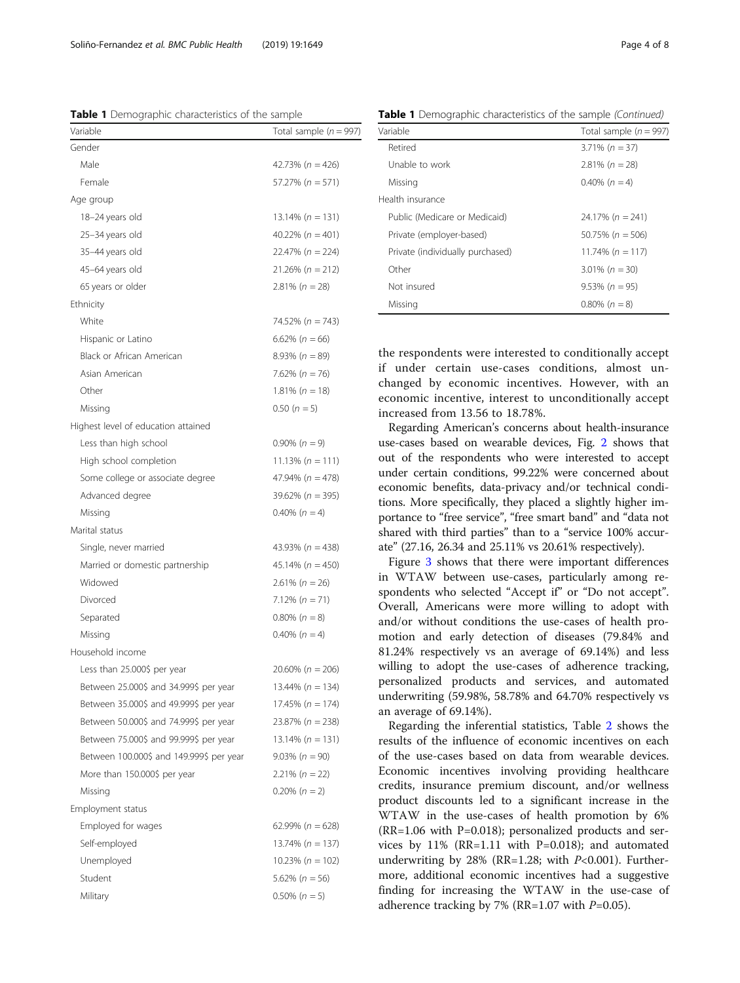the respondents were interested to conditionally accept if under certain use-cases conditions, almost unchanged by economic incentives. However, with an economic incentive, interest to unconditionally accept increased from 13.56 to 18.78%.

Regarding American's concerns about health-insurance use-cases based on wearable devices, Fig. [2](#page-4-0) shows that out of the respondents who were interested to accept under certain conditions, 99.22% were concerned about economic benefits, data-privacy and/or technical conditions. More specifically, they placed a slightly higher importance to "free service", "free smart band" and "data not shared with third parties" than to a "service 100% accurate" (27.16, 26.34 and 25.11% vs 20.61% respectively).

Figure [3](#page-5-0) shows that there were important differences in WTAW between use-cases, particularly among respondents who selected "Accept if" or "Do not accept". Overall, Americans were more willing to adopt with and/or without conditions the use-cases of health promotion and early detection of diseases (79.84% and 81.24% respectively vs an average of 69.14%) and less willing to adopt the use-cases of adherence tracking, personalized products and services, and automated underwriting (59.98%, 58.78% and 64.70% respectively vs an average of 69.14%).

Regarding the inferential statistics, Table [2](#page-5-0) shows the results of the influence of economic incentives on each of the use-cases based on data from wearable devices. Economic incentives involving providing healthcare credits, insurance premium discount, and/or wellness product discounts led to a significant increase in the WTAW in the use-cases of health promotion by 6%  $(RR=1.06$  with P=0.018); personalized products and services by 11% (RR=1.11 with P=0.018); and automated underwriting by 28% (RR=1.28; with  $P<0.001$ ). Furthermore, additional economic incentives had a suggestive finding for increasing the WTAW in the use-case of adherence tracking by 7% (RR=1.07 with  $P=0.05$ ).

Table 1 Demographic characteristics of the sample (Continued)

| Variable                                 | Total sample ( $n = 997$ ) |  |  |
|------------------------------------------|----------------------------|--|--|
| Gender                                   |                            |  |  |
| Male                                     | 42.73% ( $n = 426$ )       |  |  |
| Female                                   | $57.27\% (n = 571)$        |  |  |
| Age group                                |                            |  |  |
| 18-24 years old                          | $13.14\% (n = 131)$        |  |  |
| 25-34 years old                          | 40.22% $(n = 401)$         |  |  |
| 35-44 years old                          | $22.47\% (n = 224)$        |  |  |
| 45-64 years old                          | $21.26\% (n = 212)$        |  |  |
| 65 years or older                        | $2.81\% (n = 28)$          |  |  |
| Ethnicity                                |                            |  |  |
| White                                    | 74.52% ( $n = 743$ )       |  |  |
| Hispanic or Latino                       | $6.62\%$ (n = 66)          |  |  |
| Black or African American                | $8.93\% (n = 89)$          |  |  |
| Asian American                           | 7.62% ( $n = 76$ )         |  |  |
| Other                                    | $1.81\% (n = 18)$          |  |  |
| Missing                                  | $0.50(n = 5)$              |  |  |
| Highest level of education attained      |                            |  |  |
| Less than high school                    | $0.90\% (n = 9)$           |  |  |
| High school completion                   | 11.13% $(n = 111)$         |  |  |
| Some college or associate degree         | $47.94\% (n = 478)$        |  |  |
| Advanced degree                          | $39.62\% (n = 395)$        |  |  |
| Missing                                  | $0.40\%$ ( $n = 4$ )       |  |  |
| Marital status                           |                            |  |  |
| Single, never married                    | 43.93% ( $n = 438$ )       |  |  |
| Married or domestic partnership          | $45.14\% (n = 450)$        |  |  |
| Widowed                                  | $2.61\% (n = 26)$          |  |  |
| Divorced                                 | $7.12\% (n = 71)$          |  |  |
| Separated                                | $0.80\%$ ( $n = 8$ )       |  |  |
| Missing                                  | $0.40\%$ ( $n = 4$ )       |  |  |
| Household income                         |                            |  |  |
| Less than 25.000\$ per year              | $20.60\% (n = 206)$        |  |  |
| Between 25.000\$ and 34.999\$ per year   | 13.44% (n = 134)           |  |  |
| Between 35.000\$ and 49.999\$ per year   | $17.45\% (n = 174)$        |  |  |
| Between 50.000\$ and 74.999\$ per year   | $23.87\% (n = 238)$        |  |  |
| Between 75.000\$ and 99.999\$ per year   | $13.14\% (n = 131)$        |  |  |
| Between 100.000\$ and 149.999\$ per year | $9.03\% (n = 90)$          |  |  |
| More than 150.000\$ per year             | $2.21\% (n = 22)$          |  |  |
| Missing                                  | $0.20\% (n = 2)$           |  |  |
| Employment status                        |                            |  |  |
| Employed for wages                       | 62.99% ( $n = 628$ )       |  |  |
| Self-employed                            | $13.74\% (n = 137)$        |  |  |
| Unemployed                               | $10.23\% (n = 102)$        |  |  |
| Student                                  | $5.62\% (n = 56)$          |  |  |
| Military                                 | $0.50\% (n = 5)$           |  |  |

<span id="page-3-0"></span>Soliño-Fernandez et al. BMC Public Health (2019) 19:1649 Page 4 of 8

Table 1 Demographic characteristics of the sample

| <b>Table T</b> Demographic characteristics of the sample (continued) |                          |  |  |
|----------------------------------------------------------------------|--------------------------|--|--|
| Variable                                                             | Total sample $(n = 997)$ |  |  |
| Retired                                                              | $3.71\% (n = 37)$        |  |  |
| Unable to work                                                       | $2.81\% (n = 28)$        |  |  |
| Missing                                                              | $0.40\%$ (n = 4)         |  |  |
| Health insurance                                                     |                          |  |  |
| Public (Medicare or Medicaid)                                        | $24.17\%$ (n = 241)      |  |  |
| Private (employer-based)                                             | $50.75\%$ (n = 506)      |  |  |
| Private (individually purchased)                                     | 11.74% $(n = 117)$       |  |  |
| Other                                                                | $3.01\% (n = 30)$        |  |  |
| Not insured                                                          | $9.53\% (n = 95)$        |  |  |
| Missing                                                              | $0.80\%$ (n = 8)         |  |  |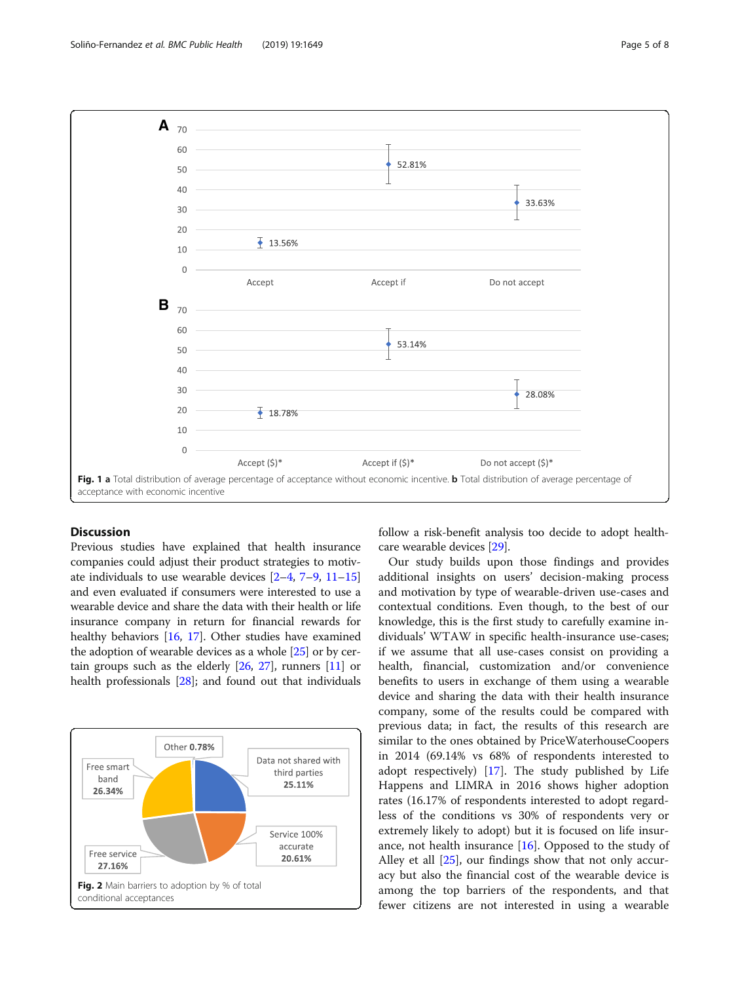<span id="page-4-0"></span>

## Discussion

Previous studies have explained that health insurance companies could adjust their product strategies to motivate individuals to use wearable devices [\[2](#page-6-0)–[4,](#page-6-0) [7](#page-6-0)–[9,](#page-6-0) [11](#page-6-0)–[15](#page-7-0)] and even evaluated if consumers were interested to use a wearable device and share the data with their health or life insurance company in return for financial rewards for healthy behaviors [\[16,](#page-7-0) [17](#page-7-0)]. Other studies have examined the adoption of wearable devices as a whole [\[25\]](#page-7-0) or by certain groups such as the elderly [\[26,](#page-7-0) [27\]](#page-7-0), runners [\[11\]](#page-6-0) or health professionals [\[28\]](#page-7-0); and found out that individuals



follow a risk-benefit analysis too decide to adopt healthcare wearable devices [\[29\]](#page-7-0).

Our study builds upon those findings and provides additional insights on users' decision-making process and motivation by type of wearable-driven use-cases and contextual conditions. Even though, to the best of our knowledge, this is the first study to carefully examine individuals' WTAW in specific health-insurance use-cases; if we assume that all use-cases consist on providing a health, financial, customization and/or convenience benefits to users in exchange of them using a wearable device and sharing the data with their health insurance company, some of the results could be compared with previous data; in fact, the results of this research are similar to the ones obtained by PriceWaterhouseCoopers in 2014 (69.14% vs 68% of respondents interested to adopt respectively) [[17\]](#page-7-0). The study published by Life Happens and LIMRA in 2016 shows higher adoption rates (16.17% of respondents interested to adopt regardless of the conditions vs 30% of respondents very or extremely likely to adopt) but it is focused on life insurance, not health insurance  $[16]$  $[16]$ . Opposed to the study of Alley et all [[25\]](#page-7-0), our findings show that not only accuracy but also the financial cost of the wearable device is among the top barriers of the respondents, and that fewer citizens are not interested in using a wearable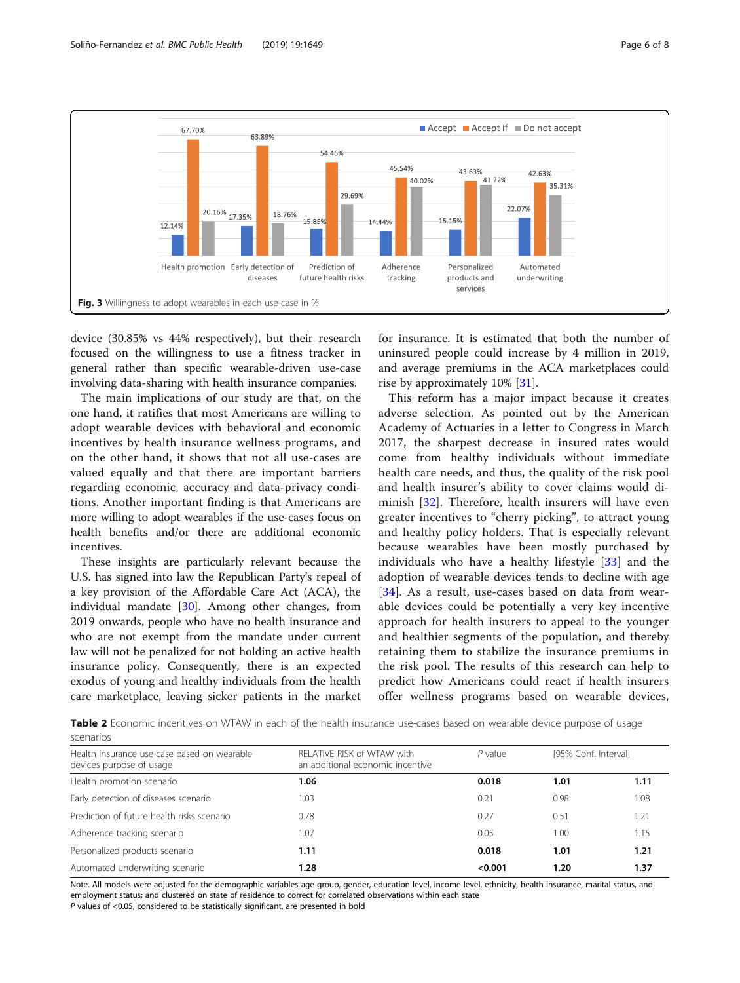<span id="page-5-0"></span>

device (30.85% vs 44% respectively), but their research focused on the willingness to use a fitness tracker in general rather than specific wearable-driven use-case involving data-sharing with health insurance companies.

The main implications of our study are that, on the one hand, it ratifies that most Americans are willing to adopt wearable devices with behavioral and economic incentives by health insurance wellness programs, and on the other hand, it shows that not all use-cases are valued equally and that there are important barriers regarding economic, accuracy and data-privacy conditions. Another important finding is that Americans are more willing to adopt wearables if the use-cases focus on health benefits and/or there are additional economic incentives.

These insights are particularly relevant because the U.S. has signed into law the Republican Party's repeal of a key provision of the Affordable Care Act (ACA), the individual mandate [[30](#page-7-0)]. Among other changes, from 2019 onwards, people who have no health insurance and who are not exempt from the mandate under current law will not be penalized for not holding an active health insurance policy. Consequently, there is an expected exodus of young and healthy individuals from the health care marketplace, leaving sicker patients in the market for insurance. It is estimated that both the number of uninsured people could increase by 4 million in 2019, and average premiums in the ACA marketplaces could rise by approximately 10% [\[31](#page-7-0)].

This reform has a major impact because it creates adverse selection. As pointed out by the American Academy of Actuaries in a letter to Congress in March 2017, the sharpest decrease in insured rates would come from healthy individuals without immediate health care needs, and thus, the quality of the risk pool and health insurer's ability to cover claims would diminish [[32\]](#page-7-0). Therefore, health insurers will have even greater incentives to "cherry picking", to attract young and healthy policy holders. That is especially relevant because wearables have been mostly purchased by individuals who have a healthy lifestyle [[33\]](#page-7-0) and the adoption of wearable devices tends to decline with age [[34](#page-7-0)]. As a result, use-cases based on data from wearable devices could be potentially a very key incentive approach for health insurers to appeal to the younger and healthier segments of the population, and thereby retaining them to stabilize the insurance premiums in the risk pool. The results of this research can help to predict how Americans could react if health insurers offer wellness programs based on wearable devices,

Table 2 Economic incentives on WTAW in each of the health insurance use-cases based on wearable device purpose of usage scenarios

| Health insurance use-case based on wearable<br>devices purpose of usage | RELATIVE RISK of WTAW with<br>an additional economic incentive | $P$ value | [95% Conf. Interval] |      |
|-------------------------------------------------------------------------|----------------------------------------------------------------|-----------|----------------------|------|
| Health promotion scenario                                               | 1.06                                                           | 0.018     | 1.01                 | 1.11 |
| Early detection of diseases scenario                                    | 1.03                                                           | 0.21      | 0.98                 | 1.08 |
| Prediction of future health risks scenario                              | 0.78                                                           | 0.27      | 0.51                 | 1.21 |
| Adherence tracking scenario                                             | 1.07                                                           | 0.05      | 1.00                 | 1.15 |
| Personalized products scenario                                          | 1.11                                                           | 0.018     | 1.01                 | 1.21 |
| Automated underwriting scenario                                         | 1.28                                                           | < 0.001   | 1.20                 | 1.37 |

Note. All models were adjusted for the demographic variables age group, gender, education level, income level, ethnicity, health insurance, marital status, and employment status; and clustered on state of residence to correct for correlated observations within each state

P values of <0.05, considered to be statistically significant, are presented in bold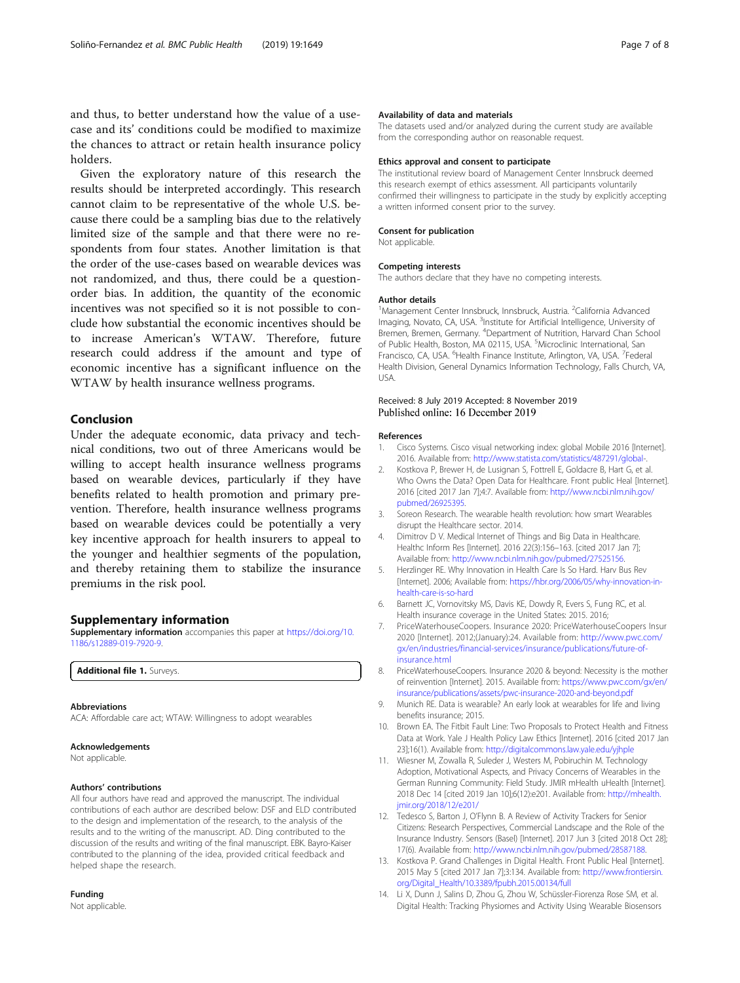<span id="page-6-0"></span>and thus, to better understand how the value of a usecase and its' conditions could be modified to maximize the chances to attract or retain health insurance policy holders.

Given the exploratory nature of this research the results should be interpreted accordingly. This research cannot claim to be representative of the whole U.S. because there could be a sampling bias due to the relatively limited size of the sample and that there were no respondents from four states. Another limitation is that the order of the use-cases based on wearable devices was not randomized, and thus, there could be a questionorder bias. In addition, the quantity of the economic incentives was not specified so it is not possible to conclude how substantial the economic incentives should be to increase American's WTAW. Therefore, future research could address if the amount and type of economic incentive has a significant influence on the WTAW by health insurance wellness programs.

### Conclusion

Under the adequate economic, data privacy and technical conditions, two out of three Americans would be willing to accept health insurance wellness programs based on wearable devices, particularly if they have benefits related to health promotion and primary prevention. Therefore, health insurance wellness programs based on wearable devices could be potentially a very key incentive approach for health insurers to appeal to the younger and healthier segments of the population, and thereby retaining them to stabilize the insurance premiums in the risk pool.

#### Supplementary information

Supplementary information accompanies this paper at [https://doi.org/10.](https://doi.org/10.1186/s12889-019-7920-9) [1186/s12889-019-7920-9.](https://doi.org/10.1186/s12889-019-7920-9)

Additional file 1. Surveys

#### Abbreviations

ACA: Affordable care act; WTAW: Willingness to adopt wearables

#### Acknowledgements

Not applicable.

#### Authors' contributions

All four authors have read and approved the manuscript. The individual contributions of each author are described below: DSF and ELD contributed to the design and implementation of the research, to the analysis of the results and to the writing of the manuscript. AD. Ding contributed to the discussion of the results and writing of the final manuscript. EBK. Bayro-Kaiser contributed to the planning of the idea, provided critical feedback and helped shape the research.

#### Funding

Not applicable.

#### Availability of data and materials

The datasets used and/or analyzed during the current study are available from the corresponding author on reasonable request.

#### Ethics approval and consent to participate

The institutional review board of Management Center Innsbruck deemed this research exempt of ethics assessment. All participants voluntarily confirmed their willingness to participate in the study by explicitly accepting a written informed consent prior to the survey.

#### Consent for publication

Not applicable.

#### Competing interests

The authors declare that they have no competing interests.

#### Author details

<sup>1</sup>Management Center Innsbruck, Innsbruck, Austria. <sup>2</sup>California Advanced Imaging, Novato, CA, USA. <sup>3</sup>Institute for Artificial Intelligence, University of Bremen, Bremen, Germany. <sup>4</sup> Department of Nutrition, Harvard Chan School of Public Health, Boston, MA 02115, USA. <sup>5</sup>Microclinic International, San Francisco, CA, USA. <sup>6</sup> Health Finance Institute, Arlington, VA, USA. <sup>7</sup> Federal Health Division, General Dynamics Information Technology, Falls Church, VA, USA.

### Received: 8 July 2019 Accepted: 8 November 2019 Published online: 16 December 2019

#### References

- 1. Cisco Systems. Cisco visual networking index: global Mobile 2016 [Internet]. 2016. Available from: <http://www.statista.com/statistics/487291/global>-.
- 2. Kostkova P, Brewer H, de Lusignan S, Fottrell E, Goldacre B, Hart G, et al. Who Owns the Data? Open Data for Healthcare. Front public Heal [Internet]. 2016 [cited 2017 Jan 7];4:7. Available from: [http://www.ncbi.nlm.nih.gov/](http://www.ncbi.nlm.nih.gov/pubmed/26925395) [pubmed/26925395.](http://www.ncbi.nlm.nih.gov/pubmed/26925395)
- 3. Soreon Research. The wearable health revolution: how smart Wearables disrupt the Healthcare sector. 2014.
- 4. Dimitrov D V. Medical Internet of Things and Big Data in Healthcare. Healthc Inform Res [Internet]. 2016 22(3):156–163. [cited 2017 Jan 7]; Available from: <http://www.ncbi.nlm.nih.gov/pubmed/27525156>.
- 5. Herzlinger RE. Why Innovation in Health Care Is So Hard. Harv Bus Rev [Internet]. 2006; Available from: [https://hbr.org/2006/05/why-innovation-in](https://hbr.org/2006/05/why-innovation-in-health-care-is-so-hard)[health-care-is-so-hard](https://hbr.org/2006/05/why-innovation-in-health-care-is-so-hard)
- 6. Barnett JC, Vornovitsky MS, Davis KE, Dowdy R, Evers S, Fung RC, et al. Health insurance coverage in the United States: 2015. 2016;
- 7. PriceWaterhouseCoopers. Insurance 2020: PriceWaterhouseCoopers Insur 2020 [Internet]. 2012;(January):24. Available from: [http://www.pwc.com/](http://www.pwc.com/gx/en/industries/financial-services/insurance/publications/future-of-insurance.html) [gx/en/industries/financial-services/insurance/publications/future-of](http://www.pwc.com/gx/en/industries/financial-services/insurance/publications/future-of-insurance.html)[insurance.html](http://www.pwc.com/gx/en/industries/financial-services/insurance/publications/future-of-insurance.html)
- 8. PriceWaterhouseCoopers. Insurance 2020 & beyond: Necessity is the mother of reinvention [Internet]. 2015. Available from: [https://www.pwc.com/gx/en/](https://www.pwc.com/gx/en/insurance/publications/assets/pwc-insurance-2020-and-beyond.pdf) [insurance/publications/assets/pwc-insurance-2020-and-beyond.pdf](https://www.pwc.com/gx/en/insurance/publications/assets/pwc-insurance-2020-and-beyond.pdf)
- 9. Munich RE. Data is wearable? An early look at wearables for life and living benefits insurance; 2015.
- 10. Brown EA. The Fitbit Fault Line: Two Proposals to Protect Health and Fitness Data at Work. Yale J Health Policy Law Ethics [Internet]. 2016 [cited 2017 Jan 23];16(1). Available from: <http://digitalcommons.law.yale.edu/yjhple>
- 11. Wiesner M, Zowalla R, Suleder J, Westers M, Pobiruchin M. Technology Adoption, Motivational Aspects, and Privacy Concerns of Wearables in the German Running Community: Field Study. JMIR mHealth uHealth [Internet]. 2018 Dec 14 [cited 2019 Jan 10];6(12):e201. Available from: [http://mhealth.](http://mhealth.jmir.org/2018/12/e201/) [jmir.org/2018/12/e201/](http://mhealth.jmir.org/2018/12/e201/)
- 12. Tedesco S, Barton J, O'Flynn B. A Review of Activity Trackers for Senior Citizens: Research Perspectives, Commercial Landscape and the Role of the Insurance Industry. Sensors (Basel) [Internet]. 2017 Jun 3 [cited 2018 Oct 28]; 17(6). Available from: <http://www.ncbi.nlm.nih.gov/pubmed/28587188>.
- 13. Kostkova P. Grand Challenges in Digital Health. Front Public Heal [Internet]. 2015 May 5 [cited 2017 Jan 7];3:134. Available from: [http://www.frontiersin.](http://www.frontiersin.org/Digital_Health/10.3389/fpubh.2015.00134/full) [org/Digital\\_Health/10.3389/fpubh.2015.00134/full](http://www.frontiersin.org/Digital_Health/10.3389/fpubh.2015.00134/full)
- 14. Li X, Dunn J, Salins D, Zhou G, Zhou W, Schüssler-Fiorenza Rose SM, et al. Digital Health: Tracking Physiomes and Activity Using Wearable Biosensors